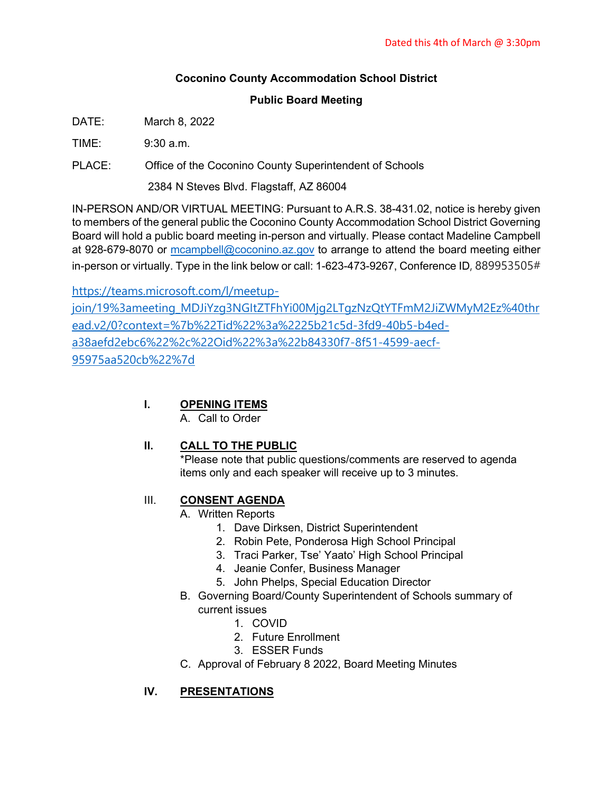### **Coconino County Accommodation School District**

#### **Public Board Meeting**

DATE: March 8, 2022

 $TIME: 9:30 a m$ 

PLACE: Office of the Coconino County Superintendent of Schools

2384 N Steves Blvd. Flagstaff, AZ 86004

IN-PERSON AND/OR VIRTUAL MEETING: Pursuant to A.R.S. 38-431.02, notice is hereby given to members of the general public the Coconino County Accommodation School District Governing Board will hold a public board meeting in-person and virtually. Please contact Madeline Campbell at 928-679-8070 or [mcampbell@coconino.az.gov](mailto:mcampbell@coconino.az.gov) to arrange to attend the board meeting either in-person or virtually. Type in the link below or call: 1-623-473-9267, Conference ID, 889953505#

[https://teams.microsoft.com/l/meetup](https://teams.microsoft.com/l/meetup-join/19%3ameeting_MDJiYzg3NGItZTFhYi00Mjg2LTgzNzQtYTFmM2JiZWMyM2Ez%40thread.v2/0?context=%7b%22Tid%22%3a%2225b21c5d-3fd9-40b5-b4ed-a38aefd2ebc6%22%2c%22Oid%22%3a%22b84330f7-8f51-4599-aecf-95975aa520cb%22%7d)[join/19%3ameeting\\_MDJiYzg3NGItZTFhYi00Mjg2LTgzNzQtYTFmM2JiZWMyM2Ez%40thr](https://teams.microsoft.com/l/meetup-join/19%3ameeting_MDJiYzg3NGItZTFhYi00Mjg2LTgzNzQtYTFmM2JiZWMyM2Ez%40thread.v2/0?context=%7b%22Tid%22%3a%2225b21c5d-3fd9-40b5-b4ed-a38aefd2ebc6%22%2c%22Oid%22%3a%22b84330f7-8f51-4599-aecf-95975aa520cb%22%7d) [ead.v2/0?context=%7b%22Tid%22%3a%2225b21c5d-3fd9-40b5-b4ed](https://teams.microsoft.com/l/meetup-join/19%3ameeting_MDJiYzg3NGItZTFhYi00Mjg2LTgzNzQtYTFmM2JiZWMyM2Ez%40thread.v2/0?context=%7b%22Tid%22%3a%2225b21c5d-3fd9-40b5-b4ed-a38aefd2ebc6%22%2c%22Oid%22%3a%22b84330f7-8f51-4599-aecf-95975aa520cb%22%7d)[a38aefd2ebc6%22%2c%22Oid%22%3a%22b84330f7-8f51-4599-aecf-](https://teams.microsoft.com/l/meetup-join/19%3ameeting_MDJiYzg3NGItZTFhYi00Mjg2LTgzNzQtYTFmM2JiZWMyM2Ez%40thread.v2/0?context=%7b%22Tid%22%3a%2225b21c5d-3fd9-40b5-b4ed-a38aefd2ebc6%22%2c%22Oid%22%3a%22b84330f7-8f51-4599-aecf-95975aa520cb%22%7d)[95975aa520cb%22%7d](https://teams.microsoft.com/l/meetup-join/19%3ameeting_MDJiYzg3NGItZTFhYi00Mjg2LTgzNzQtYTFmM2JiZWMyM2Ez%40thread.v2/0?context=%7b%22Tid%22%3a%2225b21c5d-3fd9-40b5-b4ed-a38aefd2ebc6%22%2c%22Oid%22%3a%22b84330f7-8f51-4599-aecf-95975aa520cb%22%7d)

#### **I. OPENING ITEMS**

A. Call to Order

# **II. CALL TO THE PUBLIC**

\*Please note that public questions/comments are reserved to agenda items only and each speaker will receive up to 3 minutes.

# III. **CONSENT AGENDA**

A. Written Reports

- 1. Dave Dirksen, District Superintendent
- 2. Robin Pete, Ponderosa High School Principal
- 3. Traci Parker, Tse' Yaato' High School Principal
- 4. Jeanie Confer, Business Manager
- 5. John Phelps, Special Education Director
- B. Governing Board/County Superintendent of Schools summary of current issues
	- 1. COVID
		- 2. Future Enrollment
	- 3. ESSER Funds
- C. Approval of February 8 2022, Board Meeting Minutes

# **IV. PRESENTATIONS**